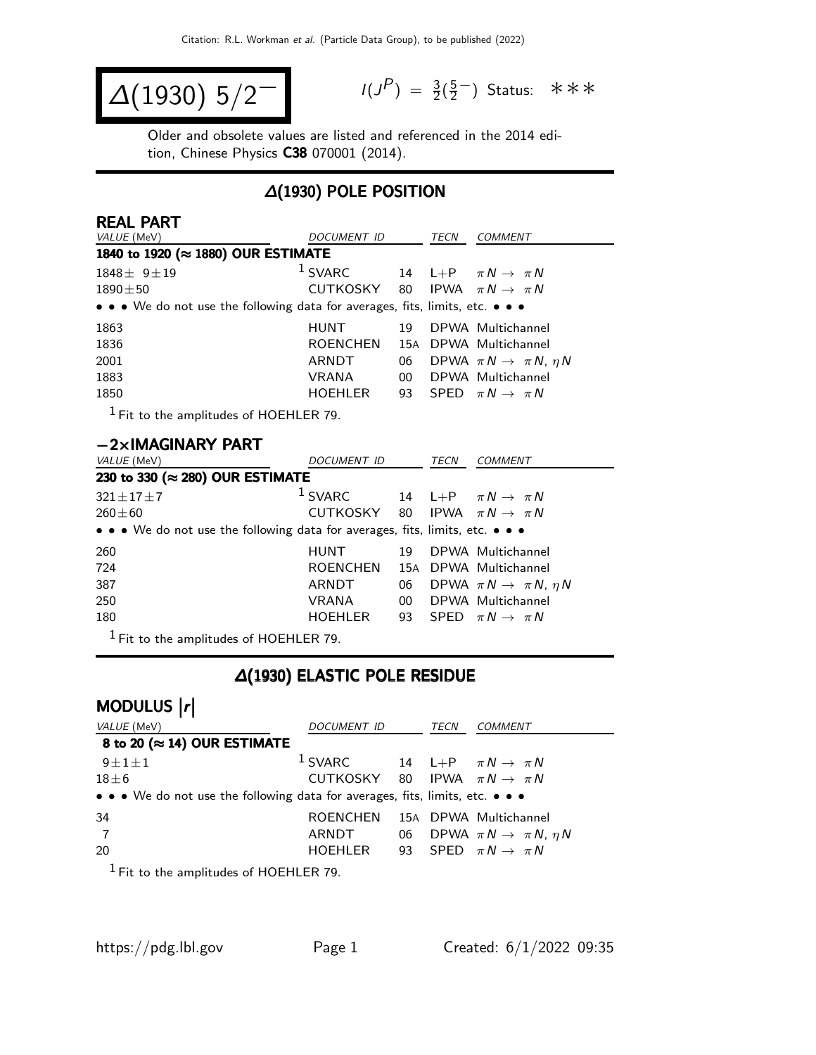$$
\Delta(1930) 5/2^{-1}
$$

 $P$ ) =  $\frac{3}{2}(\frac{5}{2})$ 2 <sup>−</sup>) Status: ∗∗∗

Older and obsolete values are listed and referenced in the 2014 edition, Chinese Physics C38 070001 (2014).

#### ∆(1930) POLE POSITION

| <b>REAL PART</b>                                                                                                                                                                                                                                                                                                                                   |                                            |    |      |                                           |  |
|----------------------------------------------------------------------------------------------------------------------------------------------------------------------------------------------------------------------------------------------------------------------------------------------------------------------------------------------------|--------------------------------------------|----|------|-------------------------------------------|--|
| VALUE (MeV)                                                                                                                                                                                                                                                                                                                                        | DOCUMENT ID                                |    | TECN | <b>COMMENT</b>                            |  |
| 1840 to 1920 (≈ 1880) OUR ESTIMATE                                                                                                                                                                                                                                                                                                                 |                                            |    |      |                                           |  |
| $1848 \pm 9 \pm 19$                                                                                                                                                                                                                                                                                                                                | $1$ SVARC                                  |    |      | 14 L+P $\pi N \rightarrow \pi N$          |  |
| $1890 \pm 50$                                                                                                                                                                                                                                                                                                                                      | CUTKOSKY 80 IPWA $\pi N \rightarrow \pi N$ |    |      |                                           |  |
| • • • We do not use the following data for averages, fits, limits, etc. • • •                                                                                                                                                                                                                                                                      |                                            |    |      |                                           |  |
| 1863                                                                                                                                                                                                                                                                                                                                               | HUNT                                       | 19 |      | DPWA Multichannel                         |  |
| 1836                                                                                                                                                                                                                                                                                                                                               | <b>ROENCHEN</b>                            |    |      | 15A DPWA Multichannel                     |  |
| 2001                                                                                                                                                                                                                                                                                                                                               | ARNDT                                      | 06 |      | DPWA $\pi N \rightarrow \pi N$ , $\eta N$ |  |
| 1883                                                                                                                                                                                                                                                                                                                                               | <b>VRANA</b>                               | 00 |      | DPWA Multichannel                         |  |
| 1850                                                                                                                                                                                                                                                                                                                                               | HOEHLER                                    |    |      | 93 SPED $\pi N \rightarrow \pi N$         |  |
| $1 - 1 - 1$<br>$\mathbf{F}$ . $\mathbf{F}$ $\mathbf{F}$ $\mathbf{F}$ $\mathbf{F}$ $\mathbf{F}$ $\mathbf{F}$ $\mathbf{F}$ $\mathbf{F}$ $\mathbf{F}$ $\mathbf{F}$ $\mathbf{F}$ $\mathbf{F}$ $\mathbf{F}$ $\mathbf{F}$ $\mathbf{F}$ $\mathbf{F}$ $\mathbf{F}$ $\mathbf{F}$ $\mathbf{F}$ $\mathbf{F}$ $\mathbf{F}$ $\mathbf{F}$ $\mathbf{F}$ $\mathbf$ |                                            |    |      |                                           |  |

1 Fit to the amplitudes of HOEHLER 79.

#### −2×IMAGINARY PART

| VALUE (MeV)                                                                   | DOCUMENT ID                                |                 | TECN | <b>COMMENT</b>                               |  |  |
|-------------------------------------------------------------------------------|--------------------------------------------|-----------------|------|----------------------------------------------|--|--|
| 230 to 330 ( $\approx$ 280) OUR ESTIMATE                                      |                                            |                 |      |                                              |  |  |
| $321 \pm 17 \pm 7$                                                            | $1$ SVARC                                  |                 |      | 14 L+P $\pi N \rightarrow \pi N$             |  |  |
| $260 \pm 60$                                                                  | CUTKOSKY 80 IPWA $\pi N \rightarrow \pi N$ |                 |      |                                              |  |  |
| • • • We do not use the following data for averages, fits, limits, etc. • • • |                                            |                 |      |                                              |  |  |
| 260                                                                           | HUNT                                       | 19              |      | DPWA Multichannel                            |  |  |
| 724                                                                           | <b>ROENCHEN</b>                            |                 |      | 15A DPWA Multichannel                        |  |  |
| 387                                                                           | ARNDT                                      |                 |      | 06 DPWA $\pi N \rightarrow \pi N$ , $\eta N$ |  |  |
| 250                                                                           | <b>VRANA</b>                               | 00 <sup>°</sup> |      | DPWA Multichannel                            |  |  |
| 180                                                                           | HOEHLER                                    |                 |      | 93 SPED $\pi N \rightarrow \pi N$            |  |  |
| $1 - \cdots$ $\cdots$ $\cdots$ $\cdots$ $\cdots$                              |                                            |                 |      |                                              |  |  |

1 Fit to the amplitudes of HOEHLER 79.

### ∆(1930) ELASTIC POLE RESIDUE

# MODULUS  $\vert r \vert$

| VALUE (MeV)                                                                   | <i>DOCUMENT ID</i>                                  | TECN | <b>COMMENT</b>                               |
|-------------------------------------------------------------------------------|-----------------------------------------------------|------|----------------------------------------------|
| 8 to 20 ( $\approx$ 14) OUR ESTIMATE                                          |                                                     |      |                                              |
| $9\pm1\pm1$                                                                   | <sup>1</sup> SVARC 14 L+P $\pi N \rightarrow \pi N$ |      |                                              |
| $18\pm 6$                                                                     | CUTKOSKY 80 IPWA $\pi N \rightarrow \pi N$          |      |                                              |
| • • • We do not use the following data for averages, fits, limits, etc. • • • |                                                     |      |                                              |
| 34                                                                            | <b>ROENCHEN</b>                                     |      | 15A DPWA Multichannel                        |
| $\overline{7}$                                                                | ARNDT                                               |      | 06 DPWA $\pi N \rightarrow \pi N$ , $\eta N$ |
| 20                                                                            | HOEHLER 93 SPED $\pi N \rightarrow \pi N$           |      |                                              |
| $1 - \ldots$ $\ldots$ $\ldots$ $\ldots$ $\ldots$                              |                                                     |      |                                              |

 $<sup>1</sup>$  Fit to the amplitudes of HOEHLER 79.</sup>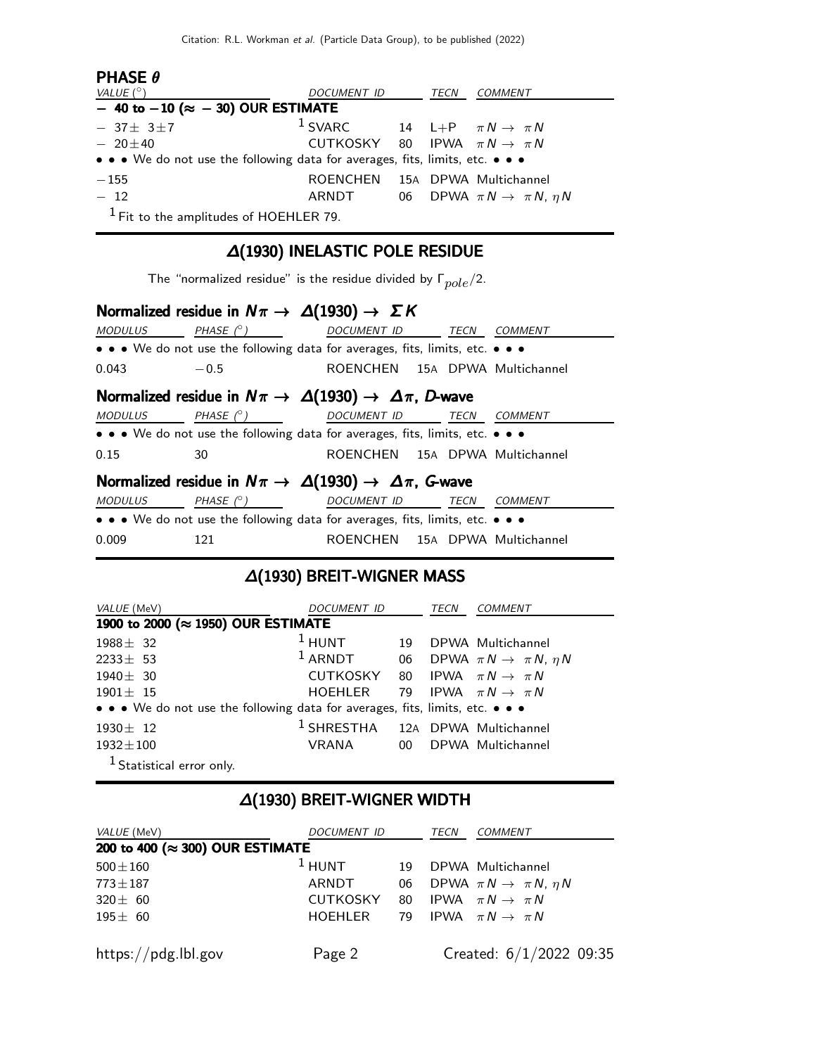| <b>PHASE <math>\theta</math></b>                                              |                                                     |      |                                              |
|-------------------------------------------------------------------------------|-----------------------------------------------------|------|----------------------------------------------|
| VALUE $(^\circ)$                                                              | DOCUMENT ID                                         | TECN | COMMENT                                      |
| $-$ 40 to $-10$ ( $\approx$ $-$ 30) OUR ESTIMATE                              |                                                     |      |                                              |
| $-37\pm 3\pm 7$                                                               | <sup>1</sup> SVARC 14 L+P $\pi N \rightarrow \pi N$ |      |                                              |
| $-20\pm 40$                                                                   | CUTKOSKY 80 IPWA $\pi N \rightarrow \pi N$          |      |                                              |
| • • • We do not use the following data for averages, fits, limits, etc. • • • |                                                     |      |                                              |
| $-155$                                                                        | ROENCHEN 15A DPWA Multichannel                      |      |                                              |
| $-12$                                                                         | ARNDT                                               |      | 06 DPWA $\pi N \rightarrow \pi N$ , $\eta N$ |
| $1$ Fit to the amplitudes of HOEHLER 79.                                      |                                                     |      |                                              |

## ∆(1930) INELASTIC POLE RESIDUE

The "normalized residue" is the residue divided by  $\Gamma_{pole}/2$ .

### Normalized residue in  $N\pi \to \Delta(1930) \to \Sigma K$

| MODULUS                                                              | PHASE (° )                                                                    | DOCUMENT ID TECN               |  | <b>COMMENT</b> |  |
|----------------------------------------------------------------------|-------------------------------------------------------------------------------|--------------------------------|--|----------------|--|
|                                                                      | • • • We do not use the following data for averages, fits, limits, etc. • • • |                                |  |                |  |
| 0.043                                                                | $-0.5$                                                                        | ROENCHEN 15A DPWA Multichannel |  |                |  |
|                                                                      | Normalized residue in $N\pi \to \Delta(1930) \to \Delta\pi$ , D-wave          |                                |  |                |  |
| MODULUS                                                              | PHASE (°) DOCUMENT ID TECN                                                    |                                |  | <b>COMMENT</b> |  |
|                                                                      | • • • We do not use the following data for averages, fits, limits, etc. • • • |                                |  |                |  |
| 0.15                                                                 | 30                                                                            | ROENCHEN 15A DPWA Multichannel |  |                |  |
| Normalized residue in $N\pi \to \Delta(1930) \to \Delta\pi$ , G-wave |                                                                               |                                |  |                |  |
| MODULUS                                                              | PHASE $(^\circ)$                                                              | DOCUMENT ID TECN               |  | <b>COMMENT</b> |  |
|                                                                      | • • • We do not use the following data for averages, fits, limits, etc. • • • |                                |  |                |  |
| 0.009                                                                | 121                                                                           | ROENCHEN 15A DPWA Multichannel |  |                |  |

#### ∆(1930) BREIT-WIGNER MASS

| VALUE (MeV)                                                                   | DOCUMENT ID                                 |    |  | <i>COMMENT</i>                               |  |
|-------------------------------------------------------------------------------|---------------------------------------------|----|--|----------------------------------------------|--|
| 1900 to 2000 (≈ 1950) OUR ESTIMATE                                            |                                             |    |  |                                              |  |
| $1988 \pm 32$                                                                 | $1$ HUNT                                    | 19 |  | DPWA Multichannel                            |  |
| $2233 \pm 53$                                                                 | $1$ ARNDT                                   |    |  | 06 DPWA $\pi N \rightarrow \pi N$ , $\eta N$ |  |
| $1940 \pm 30$                                                                 | CUTKOSKY 80 IPWA $\pi N \rightarrow \pi N$  |    |  |                                              |  |
| $1901 \pm 15$                                                                 | HOEHLER                                     |    |  | 79 IPWA $\pi N \rightarrow \pi N$            |  |
| • • • We do not use the following data for averages, fits, limits, etc. • • • |                                             |    |  |                                              |  |
| $1930 \pm 12$                                                                 | <sup>1</sup> SHRESTHA 12A DPWA Multichannel |    |  |                                              |  |
| $1932 \pm 100$                                                                | VRANA                                       |    |  | 00 DPWA Multichannel                         |  |
| <sup>1</sup> Statistical error only.                                          |                                             |    |  |                                              |  |

### ∆(1930) BREIT-WIGNER WIDTH

| VALUE (MeV)                     | <i>DOCUMENT ID</i> |    | TECN | <b>COMMENT</b>                               |
|---------------------------------|--------------------|----|------|----------------------------------------------|
| 200 to 400 (≈ 300) OUR ESTIMATE |                    |    |      |                                              |
| $500 \pm 160$                   | $1$ HUNT           | 19 |      | DPWA Multichannel                            |
| $773 + 187$                     | ARNDT              |    |      | 06 DPWA $\pi N \rightarrow \pi N$ , $\eta N$ |
| $320 \pm 60$                    | CUTKOSKY 80        |    |      | IPWA $\pi N \rightarrow \pi N$               |
| $195 \pm 60$                    | <b>HOEHLER</b>     |    |      | 79 IPWA $\pi N \rightarrow \pi N$            |
|                                 |                    |    |      |                                              |
| https://pdg.lbl.gov             | Page 2             |    |      | Created: $6/1/2022$ 09:35                    |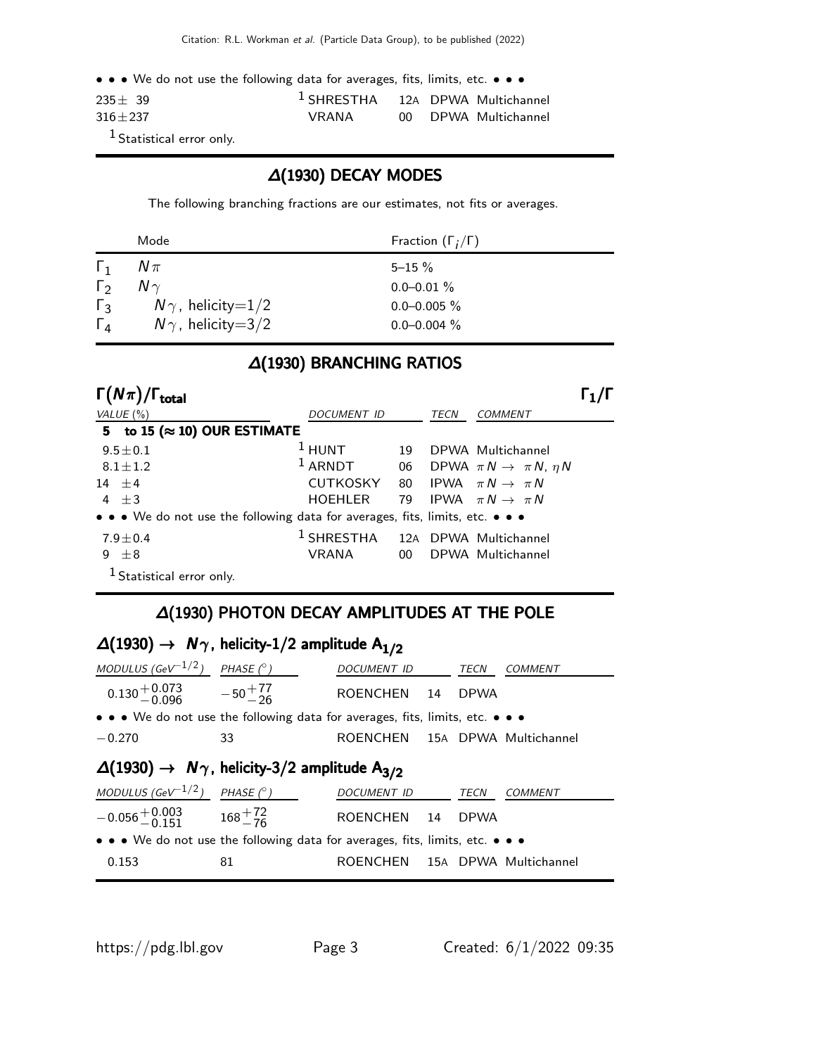• • • We do not use the following data for averages, fits, limits, etc. • • •

| $235 + 39$  | <sup>1</sup> SHRESTHA 12A DPWA Multichannel |  |                      |
|-------------|---------------------------------------------|--|----------------------|
| $316 + 237$ | VRANA                                       |  | 00 DPWA Multichannel |

<sup>1</sup> Statistical error only.

#### ∆(1930) DECAY MODES

The following branching fractions are our estimates, not fits or averages.

|                | Mode                     | Fraction $(\Gamma_i/\Gamma)$ |
|----------------|--------------------------|------------------------------|
| $\mathsf{L}_1$ | $N\pi$                   | $5 - 15 \%$                  |
| $\Gamma_{2}$   | $N \gamma$               | $0.0 - 0.01 \%$              |
| $\Gamma_3$     | $N\gamma$ , helicity=1/2 | $0.0 - 0.005 \%$             |
| $\Gamma_{4}$   | $N\gamma$ , helicity=3/2 | $0.0 - 0.004 \%$             |

#### ∆(1930) BRANCHING RATIOS

| $\Gamma(N\pi)/\Gamma_{\rm total}$                                             |                                             |    |      |                                              |  |
|-------------------------------------------------------------------------------|---------------------------------------------|----|------|----------------------------------------------|--|
| VALUE $(\% )$                                                                 | DOCUMENT ID                                 |    | TECN | <b>COMMENT</b>                               |  |
| 5 to 15 ( $\approx$ 10) OUR ESTIMATE                                          |                                             |    |      |                                              |  |
| $9.5 \pm 0.1$                                                                 | $1$ HUNT                                    | 19 |      | DPWA Multichannel                            |  |
| $8.1 \pm 1.2$                                                                 | $1$ ARNDT                                   |    |      | 06 DPWA $\pi N \rightarrow \pi N$ , $\eta N$ |  |
| 14 $\pm$ 4                                                                    | <b>CUTKOSKY</b>                             |    |      | 80 IPWA $\pi N \rightarrow \pi N$            |  |
| $4 + 3$                                                                       | <b>HOEHLER</b>                              | 79 |      | IPWA $\pi N \rightarrow \pi N$               |  |
| • • • We do not use the following data for averages, fits, limits, etc. • • • |                                             |    |      |                                              |  |
| $7.9 \pm 0.4$                                                                 | <sup>1</sup> SHRESTHA 12A DPWA Multichannel |    |      |                                              |  |
| $\pm 8$<br>9                                                                  | VRANA                                       |    |      | 00 DPWA Multichannel                         |  |
| $1$ Statistical error only.                                                   |                                             |    |      |                                              |  |

#### ∆(1930) PHOTON DECAY AMPLITUDES AT THE POLE

| $\Delta(1930) \rightarrow N\gamma$ , helicity-1/2 amplitude A <sub>1/2</sub>                                          |    |                                |  |             |                |  |
|-----------------------------------------------------------------------------------------------------------------------|----|--------------------------------|--|-------------|----------------|--|
| MODULUS (GeV $^{-1/2}$ ) PHASE ( $^{\circ}$ )                                                                         |    | DOCUMENT ID                    |  | <b>TECN</b> | <b>COMMENT</b> |  |
| $0.130^{+0.073}_{-0.096}$ $-50^{+77}_{-26}$                                                                           |    | ROENCHEN 14                    |  | <b>DPWA</b> |                |  |
| $\bullet \bullet \bullet$ We do not use the following data for averages, fits, limits, etc. $\bullet \bullet \bullet$ |    |                                |  |             |                |  |
| $-0.270$                                                                                                              | 33 | ROENCHEN 15A DPWA Multichannel |  |             |                |  |
| $\Delta(1930) \rightarrow N\gamma$ , helicity-3/2 amplitude A <sub>3/2</sub>                                          |    |                                |  |             |                |  |
|                                                                                                                       |    |                                |  |             |                |  |
| MODULUS (GeV $^{-1/2}$ ) PHASE ( $^{\circ}$ )                                                                         |    | <b>DOCUMENT ID</b>             |  | TECN        | <b>COMMENT</b> |  |
| $-0.056^{+0.003}_{-0.151}$ $168^{+72}_{-76}$                                                                          |    | ROENCHEN 14                    |  | <b>DPWA</b> |                |  |
| • • • We do not use the following data for averages, fits, limits, etc. • • •                                         |    |                                |  |             |                |  |